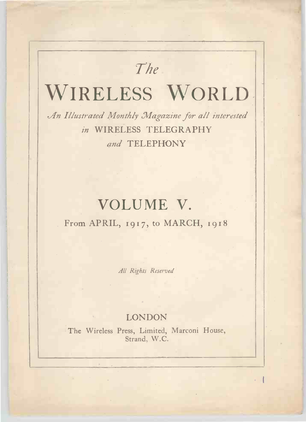The

# WIRELESS WORLD

An Illustrated Monthly Magazine for all interested in WIRELESS TELEGRAPHY and TELEPHONY

## VOLUME V.

## From APRIL, 1917, to MARCH, 1918

All Rights Reserved

## LONDON

The Wireless Press, Limited, Marconi House, Strand, W.C.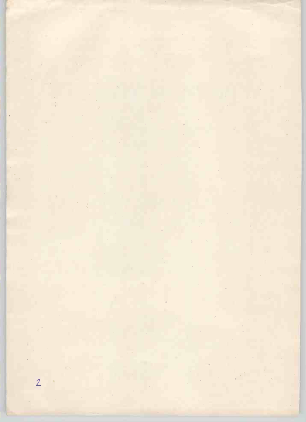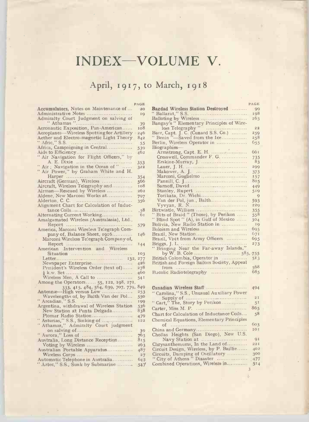## INDEX-VOLUME V.

## April, 1917, to March, 1918

|                                                               | PAGE            |                     |
|---------------------------------------------------------------|-----------------|---------------------|
| Accumulators, Notes on Maintenance of                         | 20              | <b>Bagdad</b>       |
| Administrative Notes                                          | 19              | " Ballar            |
| Admiralty Court Judgment on salving of                        |                 | Ballotin            |
|                                                               | 39              | Bangay'             |
| Aeronautic Exposition, Pan-American                           | 108             | less                |
| Aeroplanes-Wireless Spotting for Artillery                    | 246             | Barr, Ca            |
| Aether and Electro-magnetic Light Theory                      | 842             | "Benin              |
|                                                               | 55              | Berlin,             |
| Africa, Campaigning in Central                                | 539             | Biograp             |
|                                                               | 402             | Armst               |
|                                                               |                 | Cressv              |
| A. E. Dixie                                                   | 353             | Erskii              |
| "Air; Navigation in the Ocean of"                             | 322             | Lauer               |
| " Air Power," by Graham White and H.                          |                 | Mako <sup>.</sup>   |
|                                                               | 354             | $_{\mathrm{Marcc}}$ |
| Aircraft (German), Wireless                                   | 566             | Panni               |
| Aircraft, Wireless Telegraphy and                             | 108             | Sarno               |
| Airman-Rescued by Wireless                                    | 262             | Stanle              |
| Aldene, New Marconi Works at                                  | 797             | Torik:              |
|                                                               | 356             | Van d               |
| Alignment Chart for Calculation of Induc-                     |                 | Vyvy                |
|                                                               | .58             | Birtwist            |
| Alternating Current Working                                   | 61              | " Bits of           |
| Amalgamated Wireless (Australasia), Ltd.,                     |                 | "Blind              |
|                                                               | 579             | Bolivia,            |
| America, Marconi Wireless Telegraph Com-                      |                 | Boloism             |
| pany of, Balance Sheet, 1916                                  | 146             | Brazil, I           |
| Marconi Wireless Telegraph Company of,                        |                 | Brazil,             |
| Report<br>rican Intervention and Wireless                     | 144             | Briggs,<br>"Bringi  |
| American                                                      |                 |                     |
|                                                               | 103             | by '                |
|                                                               | 277             | British (           |
| Newspaper Enterprise                                          | 426             | British a<br>fror   |
| President's Wireless Order (text of)                          | 278             | Bacolic             |
| Wireless Men, A Call to                                       | 460             |                     |
|                                                               | 54 <sup>1</sup> |                     |
| Among the Operators 55, 122, 198, 271,                        |                 |                     |
| 333, 415, 484, 564, 639, 707, 779,<br>Antennæ—High versus Low | 849<br>253      | Canadia             |
| Wavelengths of, by Balth Van der Pol                          | 550             | "Caroli             |
|                                                               | 199             | $\text{Supp}$       |
| Argentina, withdrawal of Wireless Station                     | 536             | " $Cart,$ "         |
| New Station at Punta Delgada                                  | 838             | Carter, I           |
| Plomar Radio Station                                          | 479             | Chart fo            |
| " Asturias," S.S., Sinking of                                 | 122             | Chemica             |
| " Athamas," Admiralty Court judgment                          |                 | $\circ$ f           |
|                                                               | 39              | China ar            |
|                                                               | 763             | Chollas             |
| Australia, Long Distance Reception                            | 815             | Na <sup></sup>      |
|                                                               | 263             | Chrysan             |
| Australian Portable Apparatus                                 | 487             | Circuit 1           |
|                                                               | 27              | Circuits            |
| Automatic Telephone in Australia                              | 642             | '' City o           |
| "Aztec," S.S., Sunk by Submarine                              | 547             | Combin              |
|                                                               |                 |                     |

| PAGE            |                                                               | PAGE           |  |
|-----------------|---------------------------------------------------------------|----------------|--|
| 20              | Bagdad Wireless Station Destroyed                             | 99             |  |
| 19              |                                                               | 198            |  |
|                 | Balloting by Wireless                                         | 263            |  |
| 39              | Bangay's "Elementary Principles of Wire-<br>less Telegraphy " |                |  |
| 108             |                                                               | 22             |  |
| 246             | Barr, Capt. J. C. (Cunard S.S. Co.)                           | 259            |  |
| 842             | "Benin"—Saved from the Ice                                    | 258            |  |
| 55              | Berlin, Wireless Operator in                                  | 655            |  |
| 539             | $Biographies$ —                                               |                |  |
| 402             | Armstrong, Capt. E. H.                                        | 66 I           |  |
|                 | Cresswell, Commander F. G.                                    | 735            |  |
| 353             |                                                               | 83             |  |
| 322             |                                                               | 299            |  |
|                 | Makower, A. J.                                                | 373            |  |
| 354             | Marconi, Guglielmo                                            | 157            |  |
| 566             |                                                               | 805            |  |
| 108             |                                                               | 449            |  |
| 262             |                                                               | 519            |  |
| 797             | Torikata, Dr. Wichi                                           | 9              |  |
| 356             | Van der Pol, jun., Balth                                      | 593            |  |
|                 |                                                               | 229            |  |
| .58             | Birtwistle, William                                           | 355            |  |
| 61              | "Bits of Braid " (Those), by Perikon                          | 558            |  |
|                 | "Blind Spot" (A), in Gulf of Mexico                           | 304            |  |
| 579             | Bolivia, New Radio Station in                                 | 19             |  |
|                 | Boloism and Wireless                                          | 695            |  |
| 146             |                                                               | 671            |  |
|                 | Brazil, Visit from Army Officers                              | 695            |  |
| 144             |                                                               | 273            |  |
|                 | "Bringing Near the Far-away Islands,"                         |                |  |
| 103             |                                                               |                |  |
| , 277           | British Colombia, Operator in                                 | 513            |  |
| 426             | British and Foreign Sailors Society, Appeal                   |                |  |
| 278             |                                                               | 568            |  |
| 460             |                                                               | 685            |  |
| 54 <sup>1</sup> |                                                               |                |  |
|                 |                                                               |                |  |
| 849             | Canadian Wireless Staff                                       | 494            |  |
| 253             | "Carolina," S.S., Unusual Auxiliary Power                     |                |  |
| 550             |                                                               | 2I             |  |
| 199             | "Cart," The, Story by Perikon                                 | 51             |  |
| 536             |                                                               |                |  |
| 838             |                                                               | 865            |  |
| 479             | Chart for Calculation of Inductance Coils                     | 58             |  |
| 122             | Chemical Equations, Elementary Principles                     |                |  |
|                 | of                                                            | 603            |  |
| 39              | China and Germany                                             | <b>IOI</b>     |  |
| 763             |                                                               |                |  |
| 815             |                                                               | 9 <sub>I</sub> |  |
| 263             | Chrysanthemums, In the Land of                                | 221            |  |
| 487             | Circuit Design, Wireless, by P. Baillie                       | 402            |  |
| 27              | Circuits, Damping of Oscillatory                              | 300            |  |
| 642             | "City of Athens" Disaster                                     | 477            |  |
| 547             | Combined Operations, Wireless in.,                            | 514            |  |
|                 |                                                               |                |  |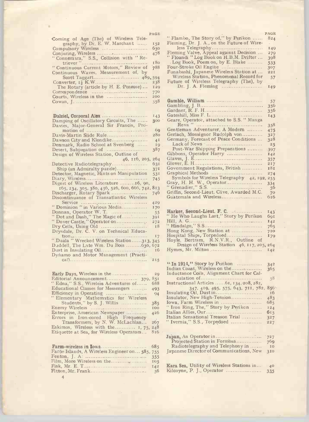PAGE

|                                          | <b>FAUL</b>   |          |
|------------------------------------------|---------------|----------|
| Coming of Age (The) of Wireless Tele-    |               | " Flam   |
| graphy, by Dr. E. W. Marchant            | 152           | Flemin   |
|                                          | 630           | les      |
|                                          | 478           | Flemin   |
| "Connemara," S.S., Collision with "Re-   |               | " Floar  |
|                                          | 180           | Log      |
| "Continuous Current Motors," Review of   | 788           | Four-St  |
| Continuous Waves, Measurement of, by     |               | Funaba   |
|                                          |               | Wire     |
|                                          | 238           | Future   |
| The Rotary (article by H, E. Penrose)    | <b>I29</b>    | Dr       |
|                                          | 770           |          |
|                                          | 200           |          |
|                                          | 358           | Gamble   |
|                                          |               | Gambli   |
|                                          |               | Gardne   |
|                                          | 143           | Gatesh   |
| Damping of Oscillatory Circuits, The     | 300           | Geare,   |
| Davies, Major-General Sir Francis, Pro-  |               | $\rm Re$ |
|                                          | 69            | Gentler  |
| Davis-Martin Slide Rule                  | 280           | Gerlach  |
| $Dayson$ $Citer$ and $Klong$ is $\alpha$ | $\triangle$ T | German   |
|                                          |               |          |

| Davis-Martin Shoe Kule                       | 40 V | uusuu                     |
|----------------------------------------------|------|---------------------------|
| Dawson City and Klondike                     | 4I   | German                    |
| Denmark, Radio School at Svenberg            | IQ   | Lack                      |
|                                              | 387  | Post                      |
| Design of Wireless Station, Outline of       |      | Gibbon                    |
| 46, 116, 205, 264                            |      | Glaves,                   |
| Detective Radiotelegraphy                    | 631  | Glover,                   |
| Ship (an Admiralty puzzle)                   | 37I  | Govern                    |
| Detector, Magnetic, Hints on Manipulation    | 531  | Graphio                   |
|                                              | 745  | Syml                      |
| Digest of Wireless Literature 16, 90,        |      | Gray, I                   |
| 165, 234, 305, 380, 456, 526, 600, 666, 742, | 813  | " Grena                   |
| Discharger, Rotary Spark                     | 746  | Griffin,                  |
| Discontinuance of Transatlantic Wireless     |      | Guatem                    |
|                                              | 429  |                           |
|                                              | 170  |                           |
| Donnan, Operator W. T.                       | 55   | Harker.                   |
| " Dot and Dash," The Magic of                | 39I  | "He W                     |
|                                              | 272  | Hill, A.                  |
|                                              | I8   | "Hinda                    |
| Drysdale, Dr. C. V. on Technical Educa-      |      | Hong F                    |
| $\text{tion} \dots \dots \dots \dots$        | I7   | Hospita                   |
| ".Duala " Wrecked Wireless Station313, 345   |      | Hoyle,                    |
|                                              |      | De                        |
|                                              | 16   | Hymes,                    |
| Dynamo and Motor Management (Practi-         |      |                           |
|                                              | 21.5 | the committee of the com- |

| Early Days, Wireless in the              | 2Q  | Induct   |
|------------------------------------------|-----|----------|
|                                          |     | cu.      |
| "Edna," S.S., Wireless Adventures of     | 688 | Instruc  |
| Educational Classes for Messengers       | 493 |          |
|                                          | 94  | Insulat  |
| "Elementary Mathematics for Wireless     |     | Insulat  |
| Students," by S. J. Willis               | 385 | Iowa, I  |
|                                          | 100 | $"$ Iron |
| Enterprise, American Newspaper           | 426 | Italian  |
| Errors in Iron-cored High Frequency      |     | Italian  |
| Transformers, by N. W. McLachlan         | 267 | "Ivern   |
| Eskimos, Wireless with the $I$ , 75,     | 248 |          |
| Etiquette at Sea, for Wireless Operators | 816 |          |
|                                          |     | Janan.   |

|                                                | Radi   |
|------------------------------------------------|--------|
| Faröe Islands, A Wireless Engineer on 585, 755 | Japane |
|                                                |        |
|                                                |        |
|                                                | Kara S |
|                                                | Kilcoy |
|                                                |        |

4

| au a           |                                                                    | rauc        |
|----------------|--------------------------------------------------------------------|-------------|
|                | "Flambo, The Story of," by Perikon                                 | 824         |
| 152            | Fleming, Dr. J. A., on the Future of Wire-                         |             |
| 630            | less Telegraphy                                                    | 149         |
| 478            | Fleming Valve, Appeal against Decision                             | 279         |
|                | " Floandi " Log Book on H.B.M. Drifter                             | 398         |
|                | Log Book, Poem on, by E. Blake                                     |             |
| 180            |                                                                    | 533         |
| 788            |                                                                    | 307         |
|                | Funabashi, Japanese Wireless Station at                            | 22I         |
| 594            | Wireless Station, Phenomenal Record for                            | 57          |
| 238            | Future of Wireless Telegraphy (The), by                            |             |
| <b>I29</b>     |                                                                    | 149         |
| 770            |                                                                    |             |
| 200            |                                                                    |             |
| 358            |                                                                    | 57          |
|                |                                                                    | 356         |
|                |                                                                    | 356         |
| 143            | Gateshill, Miss F. L.<br>Geare, Operator, attached to S.S. " Manga | I43         |
| 300            |                                                                    |             |
|                |                                                                    | 358         |
| -69            | Gentleman Adventurer, A Modern                                     | 475         |
| 280            | Gerlach, Monsignor Rudolph von                                     | 327         |
| 4 <sup>I</sup> | Germany, Forecast of Peace Conditions                              | 328         |
| <b>19</b>      |                                                                    | 25          |
| 387            | Post-War Shipping Preparations                                     | 397         |
|                | Gibbons, Operator Harry                                            |             |
| 264            |                                                                    | 142         |
|                |                                                                    | 357         |
| 631            |                                                                    | 217         |
| 37I            | Government Regulations, British                                    | 181         |
| 531            | Graphical Methods                                                  | 274         |
| 745            | Symbols for Wireless Telegraphy 42, 192, 255                       |             |
|                | Gray, H. H. W., Operator                                           | 334         |
| 813            |                                                                    | 56          |
| 746            | Griffin, Second-Lieut. Clive, Awarded M.C.                         | 70          |
|                |                                                                    | 616         |
| 429            |                                                                    |             |
| 170            |                                                                    |             |
| 55             | Harker, Second-Lieut. F. C.                                        | 143         |
| 39 I           | "He Who Laughs Last," Story by Perikon                             | 69I         |
| 272            |                                                                    | 142         |
| I8             |                                                                    | 705         |
|                | Hong Kong, New Station at                                          | 710         |
| I7             | Hospital Ships, Torpedoed                                          | 179         |
| 345            | Hoyle, Bertram, R.N.V.R., Outline of                               |             |
| 672            | Design of Wireless Station 46, 117, 205, 264                       |             |
| <b>16</b>      |                                                                    | I42         |
|                |                                                                    |             |
| 21.5           |                                                                    |             |
|                | "In 1914," Story by Perikon                                        | 342         |
|                | Indian Coast, Wireless on the                                      | 365         |
| 29             | Inductance Coils, Alignment Chart for Cal-                         |             |
| 85I            | culation of                                                        | 58          |
| 688            | Instructional Articles  61, 134, 208, 282,                         |             |
| 193            | 347, 419, 495, 575, 643, 711, 782,                                 | $856^\circ$ |
| 94             |                                                                    | 16          |
|                | Insulator, New High-Tension                                        | 483         |
| 385            |                                                                    | 685         |
| 100            | " Iron Ring, The," Story by Perikon                                | 124         |
|                |                                                                    | 615         |
| 426            | Italian Sensational Treason Trial                                  |             |
|                | "Ivernia," S.S., Torpedoed                                         | 327         |
| 267            |                                                                    | 227         |

Japan, An Operator in Franchischer (1986)<br>Fraction in Formosa Projected Station in Formosa Projected Station in Formosa Projected Station in Formosa Projected Station in Formosa Projected Station in Reprintent Contract Con Japanese Director of Communications, New 310 727 769 10 310

| 142 | Kara Sea, Utility of Wireless Stations in | 40  |  |
|-----|-------------------------------------------|-----|--|
| 56  |                                           | 335 |  |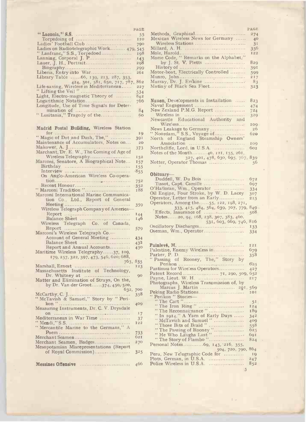|                                           | P A G E |                        |
|-------------------------------------------|---------|------------------------|
|                                           | 55      | Method                 |
|                                           | 110     | Mexicar                |
| Ladies' Football Club                     | 790     | Wirel                  |
| Ladies on Radiotelegraphic Work 479, 545  |         | Millard,               |
| "Lanfranc," S.S., Torpedoed               | 198     | Mole, H                |
|                                           | 143     | Morse C                |
|                                           | 298     | $\mathbf{b}\mathbf{v}$ |
|                                           | 299     | Histo                  |
|                                           | 261     | Motor-b                |
| Library Table  66, 139, 213, 287, 353,    |         | Munro,                 |
| 424, 501, 581, 650, 717, 787,             | 862     | Murray                 |
| Life-saving, Wireless in Mediterranean    | 227     | Mutiny                 |
|                                           | 534     |                        |
| Light, Electro-magnetic Theory of         | 842     |                        |
| Logarithmic Notation                      | 766     | Nauen.                 |
| Longitude, Use of Time Signals for Deter- |         | Naval I                |
|                                           | 84      | New Ze                 |
| "Lusitania," Tragedy of the               | 60      | Wirel                  |
|                                           |         | Newcas                 |

### Madrid Postal Building, Wireless Station

| for<br>.                                  | 19              | ʻʻ Noord:      |
|-------------------------------------------|-----------------|----------------|
| "Magic of Dot and Dash, The,"             | 39 <sup>T</sup> | North o        |
| Maintenance of Accumulators, Notes on     | 20              | Asso           |
|                                           | 373             | Northcli       |
| Marchant, Dr. E. W., The Coming of Age of |                 | Notes of       |
| Wireless Telegraphy                       | 152             |                |
| Marconi, Senatore, A Biographical Note    | 157             | Notter,        |
|                                           | 155             |                |
|                                           | .855            |                |
| On Anglo-American Wireless Co-opera-      |                 | Obituary       |
|                                           | 752             | Dudde          |
|                                           | 352             | Tissot         |
|                                           | 188             | O'Hallor       |
| Marconi International Marine Communica-   |                 | Oil Engi       |
| tion Co., Ltd., Report of General         |                 | Operator       |
|                                           | 359             | Operator       |
| Wireless Telegraph Company of America-    |                 |                |
|                                           | I <sub>44</sub> | <b>Effects</b> |
| Balance Sheet                             | 146             | Notes.         |
| Wireless Telegraph Co. of Canada,         |                 |                |
|                                           | 579             | Oscillato      |
| Marconi's Wireless Telegraph Co.-         |                 | Oseman,        |
| Account of General Meeting                |                 |                |
| Balance Sheet                             | 434<br>432      |                |
| Report and Annual Accounts                | 430             | Painlevé.      |
| Maritime Wireless Telegraphy37, 109,      |                 | Palestine      |
| 179, 257, 322, 397, 473, 546, 620, 688,   |                 | Parker,        |
| 763,                                      | 835             | " Passin       |
| <b>CONTRACTOR</b><br>Marshall, Ernest     | 123             | Peri           |
| Massachusetts Institute of Technology,    |                 | Pastimes       |
|                                           | 90              | Patent F       |
|                                           |                 | Payne, I       |
| by Dr. Van der Groot374, 450, 520,        |                 | Photogra       |
| 632,                                      | 700             | Mar            |
|                                           | 358             | Peking F       |
|                                           |                 | " Periko       |
|                                           | 409             | "The           |
|                                           |                 | $\alpha$ The   |
|                                           | 17              | $"$ The        |
|                                           |                 | " In 1         |
|                                           | 37<br>122       | " McT          |
| "Mercantile Marine to the Germans," A     |                 | "Thos          |
|                                           |                 | "The           |
|                                           | 733             | " He           |
| Merchant Seamen                           | 621             | $"$ The        |
| Merchant Seamen, Badges                   | 270             | Personal       |
| Mesopotamian Misrepresentations (Report   |                 |                |
| of Royal Commission)                      | 325             | Peru, Ne       |
|                                           |                 | Plots, Ge      |
| Messines Offensive                        | 466             | Police W       |
|                                           |                 |                |

| PAGE  |                                        | PAGE |  |
|-------|----------------------------------------|------|--|
| 55    |                                        | 274  |  |
| 110   | Mexican Wireless News for Germany      | 40   |  |
| 790   | Wireless Stations                      | 31   |  |
| , 545 |                                        | 356  |  |
| IQ8   |                                        | I22  |  |
| 143   | Morse Code, "Remarks on the Alphabet," |      |  |
| 298   |                                        | 829  |  |
| 299   |                                        | 39I  |  |
| 26I   | Motor-boat, Electrically Controlled    | 599  |  |
|       |                                        | 217  |  |
| ,862  |                                        | 83   |  |
| 227   |                                        | 323  |  |
| 531   |                                        |      |  |

| 766             | Nauen. Developments in Installation<br>823                                                                                                                                                                                                                           |    |  |
|-----------------|----------------------------------------------------------------------------------------------------------------------------------------------------------------------------------------------------------------------------------------------------------------------|----|--|
|                 | 474                                                                                                                                                                                                                                                                  |    |  |
| 84              | 724                                                                                                                                                                                                                                                                  |    |  |
| 60              | Wireless in<br>329                                                                                                                                                                                                                                                   |    |  |
|                 | Newcastle Educational Authority and                                                                                                                                                                                                                                  |    |  |
|                 | 109                                                                                                                                                                                                                                                                  |    |  |
|                 | News Leakage to Germany                                                                                                                                                                                                                                              | 26 |  |
| IQ              | 620                                                                                                                                                                                                                                                                  |    |  |
| 39 <sup>T</sup> | North of England Steamship Owners'                                                                                                                                                                                                                                   |    |  |
| 20              | Association<br>100                                                                                                                                                                                                                                                   |    |  |
| 373             | Northcliffe, Lord, in U.S.A.<br>602                                                                                                                                                                                                                                  |    |  |
|                 |                                                                                                                                                                                                                                                                      |    |  |
| 152             | 327, 401, 478, 630, 695, 767, 839                                                                                                                                                                                                                                    |    |  |
|                 | $\mathbb{R}^n$ is a set of $\mathbb{R}^n$ is a set of $\mathbb{R}^n$ is a set of $\mathbb{R}^n$ is a set of $\mathbb{R}^n$ is a set of $\mathbb{R}^n$ is a set of $\mathbb{R}^n$ is a set of $\mathbb{R}^n$ is a set of $\mathbb{R}^n$ is a set of $\mathbb{R}^n$ is |    |  |

|               | 157 Notter, Operator Thomas |  |  |  |
|---------------|-----------------------------|--|--|--|
| $r \approx 5$ |                             |  |  |  |

| 855 |                                           |        |  |
|-----|-------------------------------------------|--------|--|
|     | Obituary-                                 |        |  |
|     |                                           | 672    |  |
| 752 |                                           | 697    |  |
| 352 | O'Halloran, Wm., Operator                 |        |  |
| 188 | Oil Engine, Four Stroke, by W. D. Lacey   | 334    |  |
|     |                                           | 307    |  |
|     | Operator, Letter from an Early            | 215    |  |
| 359 | Operators, Among the55, 122, 198, 271,    |        |  |
|     | 333, 415, 484, 564, 639, 707, 779,        | 849    |  |
| I44 |                                           | 508    |  |
| 146 | Notes20, 94, 168, 238, 307, 383, 460,     |        |  |
|     | 531, 603, 669, 746, 816                   |        |  |
| 579 |                                           | 133    |  |
|     |                                           | 334    |  |
|     |                                           |        |  |
| 434 |                                           |        |  |
| 432 |                                           | I2I.   |  |
| 430 |                                           | 679    |  |
|     | Parker, P. D.                             | 358    |  |
|     | "Passing of Rooney, The," Story by        |        |  |
| 835 | $Perikon$                                 | $62-5$ |  |
| 123 | Pastimes for Wireless Operators           | 427    |  |
|     |                                           | 652    |  |
| 90  |                                           | 217    |  |
|     | Photographs, Wireless Transmission of, by |        |  |
|     |                                           |        |  |
| 700 |                                           |        |  |
| 258 |                                           | 101    |  |

| 358      |                                  |     |  |  |
|----------|----------------------------------|-----|--|--|
|          | "Perikon "Stories-               |     |  |  |
|          |                                  | 51. |  |  |
| 409      | "The Iron Ring"                  | I24 |  |  |
|          | "The Reconnairsance"             | 189 |  |  |
| 17       | "In 1914," A Yarn of Early Days  | 342 |  |  |
| 37       |                                  | 409 |  |  |
| 122      |                                  | 558 |  |  |
|          |                                  | 625 |  |  |
| 733      | "He Who Laughs Last"             | 691 |  |  |
| 621      | "The Story of Flambo"            | 824 |  |  |
| 270      | Personal Notes69, 143, 216, 355, |     |  |  |
|          |                                  |     |  |  |
| $3^{2}5$ | 504, 720, 790, 864               |     |  |  |
|          | Peru, New Telegraphic Code for   | 1Q  |  |  |
|          |                                  |     |  |  |
| 466      |                                  | 852 |  |  |
|          |                                  |     |  |  |

5

 $\mathbb{F}_{\geq 0}$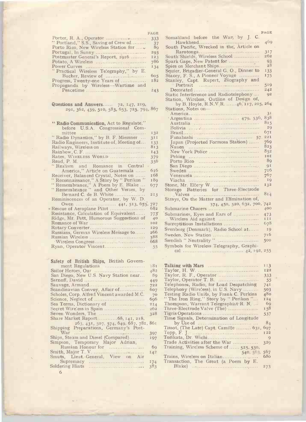| Somalil<br>333    |
|-------------------|
| Ha<br>37          |
| South 1<br>-89    |
| Ra<br>293         |
| South S<br>123    |
| Spark (<br>786    |
| Spies of<br>134   |
| Squier,           |
| Stacey,<br>605    |
| 182<br>Stanley    |
| Po                |
| Deco:<br>243      |
| Static I          |
| Station           |
| by                |
| <b>Station</b>    |
| Amer              |
| ' Arger           |
| Austi             |
| B <sub>oliv</sub> |
|                   |

| before U.S.A. Congressional Com-          |          | Boliv          |
|-------------------------------------------|----------|----------------|
| mittee                                    | 132      | <b>Braz</b>    |
| "Radio Dynamics," by B. F. Miessner       | 311      | $F$ una        |
| Radio Engineers, Institute of, Meeting of | 133.     | $ $ apa        |
|                                           | 813      | Naue           |
|                                           | 143      | New            |
| Rates, WIRELESS WORLD                     | 379      | Peki           |
|                                           | 356      | Port           |
| "Realism and Romance in Central           |          | San :          |
| America," Article on Guatemala            | 616      | Swed           |
| Receiver, Balanced Crystal, Notes on      | 168      | Vene           |
| "Reconnaissance," A Story by "Perikon"    | 189      | Viac           |
| " Remembrance," A Poem by E. Blake        | 677      | Stone,         |
| "Remembrance" and Other Verses, by        |          | Storage        |
| Bernard C. de B. White                    | 213      | $\mathbf{V}$ a |
| Reminiscences of an Operator, by W. D.    |          | Strays,        |
|                                           | $7^{2}7$ |                |
| Rescue of Aeroplane Pilot                 | 682      | Subma:         |
| Resistance, Calculation of Equivalent     | 773      | Subma          |
| Ridge, Mr. Pett, Humorous Suggestions of  | 40       | · Wire         |
|                                           | 102      | Surrept        |
|                                           | 129      | Svenbo         |
| Russians, German Wireless Message to      | 266      | Sweden         |
|                                           | 388      |                |
|                                           | 668      | Swedisl        |
| Ryan, Operator Vincent                    | 55       | Symbol         |
|                                           |          |                |

| Safety of British Ships, British Govern-   |     |              |
|--------------------------------------------|-----|--------------|
|                                            | 181 | Talking      |
| Sailor Heroes, Our                         | 482 | Taylor       |
| San Diego, New U.S. Navy Station near      | 89  | Taylor       |
|                                            | 449 | Taylor       |
|                                            | 722 | Teleph       |
| Scandinavian Convoy, Affair of             | 607 | Teleph       |
| Scholes, Corp. Alfred Vincent awarded M.C. | 70  | Testing      |
| Science, Neglect of                        | 696 | $"$ The $"$  |
| Sea Terms, Dictionary of                   | 2I4 | Thomp        |
|                                            | 262 | Three-       |
| Seven Wonders, The                         | 328 | Tigris (     |
| Share Market Report68, 141, 218,           |     | Time S       |
| 263, 431, 507, 574, 649, 687, 781, 861     |     | $\mathbf{b}$ |
| Shipping Preparations, Germany's Post-     |     | Tissot,      |
|                                            | 397 | Topp, I      |
| Ships, Steam and Diesel (Compared)         | 197 | Torikat      |
| Simpson, Temporary Major Adrian,           |     | Trade        |
| Russian Honour for                         | 69  | Trainin      |
|                                            | I42 |              |
| Smuts, Lieut.-General, View on Air         |     | Trains,      |
| Supremacy                                  | 174 | Transa       |
|                                            | 383 | B!           |
|                                            |     |              |

| $_{\rm PACE}$ | PAGE                                              |  |
|---------------|---------------------------------------------------|--|
| 333           | Somaliland before the War, by J. C.               |  |
| 37            | 469<br>Hawkhead                                   |  |
| 89            | South Pacific, Wrecked in the, Article on         |  |
|               | 317                                               |  |
| 293           | 262                                               |  |
| 123           | South Shields, Wireless School                    |  |
| 786           | Spark Gaps, New Patent for<br>93                  |  |
| 134           | 28<br>Spies on Merchant Ships                     |  |
|               | Squier, Brigadier-General G. O., Dinner to<br>133 |  |
| 60.5          | Stacey, F. S., A Pioneer Voyage<br>175            |  |
| 182           | Stanley, Capt. Rupert, Biography and              |  |
|               | 519                                               |  |
|               | 242                                               |  |
| 243           | Static Interference and Radiotelephony            |  |
|               | 92                                                |  |
|               | Station, Wireless, Outline of Design of,          |  |
|               | by B. Hoyle, R.N.V.R. 46, 117, 205, 264           |  |
| ,867          | Stations, Notes on-                               |  |
|               | 3 <sup>I</sup>                                    |  |
|               | 838                                               |  |
|               | 815                                               |  |
|               | 19                                                |  |
| 132           | 671                                               |  |
|               | 221                                               |  |
| 311           | 769                                               |  |
| 133           | Japan (Projected Formosa Station)                 |  |
| 813           | 823                                               |  |
| 143           | 852                                               |  |
| 379           | 101                                               |  |
| 356           | 89<br>Porto Rico                                  |  |
|               | 91                                                |  |
| 616           | 716                                               |  |
| 168           | 767                                               |  |
| 189           | 19                                                |  |
| 677           | Stone, Mr. Ellery W.<br>132                       |  |
|               | Storage Batteries for Three-Electrode             |  |
|               | 814                                               |  |
| 213           |                                                   |  |
|               | Strays. On the Matter and Elimination of,         |  |
| 727           | 374, 450, 520, 632, 700, 742                      |  |
| 682           | Submarine Chasers<br>400                          |  |
| 773           | Submarines, Eyes and Ears of<br>473               |  |
| 40            | III                                               |  |
| 102           | 678<br>Surreptitious Installations                |  |
| 129           |                                                   |  |
| 266           | Svenborg (Denmark), Radio School at<br>19         |  |
| 388           | Sweden, New Station<br>716                        |  |
| 668           | Swedish "Neutrality"<br>500                       |  |
| 55            | Symbols for Wireless Telegraphy, Graphi-          |  |
|               |                                                   |  |
|               |                                                   |  |

PAGE

#### Talking with Mars Taylor, H. W. Taylor, R. F., Operator Taylor, Operator T. B. Telephones, Radio, for Load Despatching Telephony (Wireless), in U.S. Navy Testing Radio Units, by Frank C. Perkins " The Iron Ring," Story by " Perikon " Thompson, Warrant Telegraphist R. N 262 Three-Electrode Valve (The) ........ Tigris Operations<br>
Time Signals, Determination of Longitude<br>
by Use of  $\begin{array}{c} 537 \\ 84 \end{array}$ Tissot, (The Late) Capt. Camille 631, 697 397 Topp, F. J. 122 197 Torikata, Dr. Wichi 9 Trade Activities after the War 69 Training, Wireless Scheme of  $\ldots$ , 525, 530, 540, 563, 567 142 540, 563, 567<br>Trains, Wireless on Italian 680 74 Transaction, The Great (a Poem by E.<br>83 Blake) 383 Blake) 273 181 482 Taylo 449 **Laylo** 722 Teleph<br>607 Teleph 70 Testin<br>696 "The 214 Thom 328 113 122 333 55 741 503 480 124 69 158 537 84 329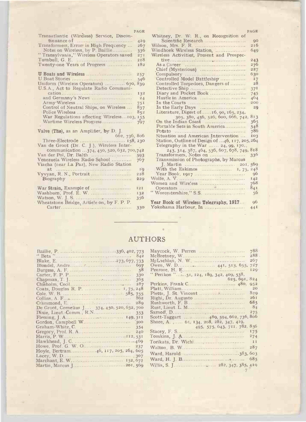|  | DA CI |  |
|--|-------|--|
|  |       |  |

|                                                                             | PAGE | PAGE                                            |                 |
|-----------------------------------------------------------------------------|------|-------------------------------------------------|-----------------|
| Transatlantic (Wireless) Service, Discon-                                   |      | Whitney, Dr. W. R., on Recognition of           |                 |
|                                                                             | 429  | Scientific Research                             | Q <sub>O</sub>  |
| Transformers, Errors in High Frequency                                      | 267  |                                                 | 216             |
| Notes on Wireless, by P. Baillie                                            | 336  | Windhoek Wireless Station.                      | 649             |
| "Transylvania," Wireless Operators saved                                    | 27I  | Wireless Activities, Present and Prospec-       |                 |
|                                                                             | 218  |                                                 | 243             |
| Twenty-one Years of Progress                                                | 182  |                                                 | 276             |
|                                                                             |      | Chief (Mysterious)                              | 227             |
|                                                                             | 257  |                                                 | 630             |
|                                                                             | 546  | Controlled Model Battleship                     | 17              |
| Uniform (Wireless Operators)  670, 839                                      |      | Controlled Torpedoes, Dangers of                | 28              |
| U.S.A., Act to Regulate Radio Communi-                                      |      |                                                 | 37 <sup>1</sup> |
|                                                                             | 132  | Diary and Pocket Book                           | 745             |
| and Germany's News                                                          | 24   |                                                 | $4^{64}$        |
|                                                                             | 75I  |                                                 | 200             |
| Control of Neutral Ships, on Wireless                                       | 837  | In the Early Days                               | 29              |
|                                                                             | 852  | Literature, Digest of $16, 90, 165, 234$ ,      |                 |
| War Regulations affecting Wireless103, 155                                  |      | 305, 380, 456, 526, 600, 666, 742,              | 813             |
| Wartime Wireless Progress                                                   | 797  |                                                 | 365             |
|                                                                             |      | Portable Sets in South America                  | 548             |
| Valve (The), as an Amplifier, by D. J.                                      |      |                                                 | 786             |
|                                                                             |      | Situation and American Intervention             | IO3             |
|                                                                             |      | Station, Outline of Design of 46, 117, 205, 264 |                 |
| Van de Groot (Dr. C. J.), Wireless Inter-                                   |      | Telegraphy in the War $\ldots$ 24, 99, 170,     |                 |
| communication 374, 450, 520, 632, 700, 742                                  |      | 243, 314, 387, 464, 536, 607, 678, 749, 818     |                 |
|                                                                             | 593  | Transformers, Notes on                          | 336             |
| Venezuela Wireless Radio School                                             | 767  | Transmission of Photographs, by Marcus          |                 |
| Viacha (near La Paz), New Radio Station                                     |      |                                                 |                 |
|                                                                             | IQ.  |                                                 |                 |
| Vyvyan, R. N., Portrait                                                     | 228  |                                                 | 96              |
|                                                                             | 229  |                                                 | <b>I42</b>      |
|                                                                             |      | Women and Wireless                              | 768             |
| War Strain, Example of                                                      | 121  |                                                 | 84I             |
|                                                                             | 132  |                                                 | 56              |
| Watson, $W_i$ J. S. $\dots \dots \dots \dots \dots \dots \dots \dots \dots$ | 356  |                                                 |                 |
| Wheatstone Bridge, Article on, by F. P. P.                                  |      | Year Book of Wireless Telegraphy, 1917          | 96              |
|                                                                             | 330  | Yokohama Harbour, In                            | 44I             |

|  |  | PAU |
|--|--|-----|
|  |  |     |
|  |  |     |
|  |  |     |

| ansatlantic (Wireless) Service, Discon-        | Whitney, Dr. W. R., on Recognition of                   |
|------------------------------------------------|---------------------------------------------------------|
| 429                                            | Scientific Research<br>90                               |
| ansformers, Errors in High Frequency<br>267    | 216                                                     |
| Notes on Wireless, by P. Baillie<br>336        | Windhoek Wireless Station.<br>649                       |
| Transylvania," Wireless Operators saved<br>27I | Wireless Activities, Present and Prospec-               |
| 218                                            | 243                                                     |
| venty-one Years of Progress<br>182             | 276                                                     |
|                                                | Chief (Mysterious)<br>227                               |
| 257                                            | 630                                                     |
| 546                                            | Controlled Model Battleship<br>17                       |
| iform (Wireless Operators)  670, 839           | 28<br>Controlled Torpedoes, Dangers of                  |
| S.A., Act to Regulate Radio Communi-           | 37 <sup>1</sup>                                         |
| 132                                            | 745                                                     |
| 24                                             | 404                                                     |
| 75I                                            | 200                                                     |
| Control of Neutral Ships, on Wireless<br>837   | In the Early Days<br>29                                 |
| 852                                            | Literature, Digest of $16, 90, 165, 234$ ,              |
| War Regulations affecting Wireless103, 155     | 305, 380, 456, 526, 600, 666, 742, 813                  |
|                                                | On the Indian Coast<br>365                              |
|                                                | Portable Sets in South America<br>548                   |
| $l$ ve (The), as an Amplifier, by D. J.        | 786                                                     |
| 662, 736, 806                                  | Situation and American Intervention<br>IO3              |
|                                                | Station, Outline of Design of $\dots$ 46, 117, 205, 264 |
| n de Groot (Dr. C. J.), Wireless Inter-        | Telegraphy in the War $\ldots$ 24, 99, 170,             |
| communication  374, 450, 520, 632, 700, 742    | 243, 314, 387, 464, 536, 607, 678, 749, 818             |
| 593                                            | Transformers, Notes on<br>330                           |
| nezuela Wireless Radio School<br>767           | Transmission of Photographs, by Marcus                  |
| acha (near La Paz), New Radio Station          |                                                         |
| IQ                                             |                                                         |
| 228                                            | 96                                                      |
| 229                                            | I42                                                     |
|                                                | 768                                                     |
| ar Strain, Example of<br>121                   | 84I                                                     |
| 132                                            | -56                                                     |
| 356                                            |                                                         |
| heatstone Bridge, Article on, by F. P. P.      | Year Book of Wireless Telegraphy, 1917<br>96            |
| 330                                            | Yokohama Harbour, In<br>44I                             |
|                                                |                                                         |

## AUTHORS

|                                               | Maycocl       |
|-----------------------------------------------|---------------|
|                                               | McBretr       |
|                                               | McLach        |
|                                               | Owen, V       |
|                                               | Penrose       |
|                                               | '' Periko     |
|                                               |               |
| 287                                           | Perkins,      |
|                                               | Platt, W      |
|                                               | Pletts,       |
| 862                                           | Righi, L      |
| 280                                           | <b>Rushwo</b> |
| De Groot, Cornelius J 374, 450, 520, 632, 700 | Rust, Li      |
| 353                                           | Sarnoff,      |
|                                               | Scott-Ta      |
|                                               | Shore, A      |
| 354                                           |               |
| Gregory, Prof. R. A.<br>240                   | Stacey,       |
|                                               | Tomkins       |
|                                               | Torikata      |
|                                               | Walton,       |
|                                               |               |
|                                               | Ward, H       |
|                                               | Ward, F       |
|                                               | Willis, S     |
|                                               |               |

| 773  |                                         | 788  |  |
|------|-----------------------------------------|------|--|
| 842  |                                         | 288. |  |
| 733  |                                         | 267  |  |
| 697  |                                         |      |  |
| -58  |                                         | I20  |  |
| 330  | "Perikon ",51, 124, 189, 342, 409, 538, |      |  |
| 365  | 625, 691, 824                           |      |  |
| 287  |                                         |      |  |
| 248  |                                         | 20   |  |
| 755  |                                         | 829  |  |
| 862  |                                         | 261  |  |
| 289  |                                         | 685  |  |
| 700  |                                         | 84   |  |
| 353  |                                         | 275  |  |
| 3II  | Scott-Taggart 489, 594, 662, 736, 806   |      |  |
| 300  | Shore, A.  61, 134, 208, 282, 347, 419, |      |  |
| 3.54 | 495, 575, 643, 711, 782, 856            |      |  |
| 240  |                                         | 175  |  |
| 53I  |                                         | 274  |  |
| 169  |                                         | II   |  |
| 237  |                                         | 287  |  |
| 605  |                                         |      |  |
| 307  |                                         |      |  |
| 572  |                                         | 685  |  |
| 569  |                                         |      |  |
|      |                                         |      |  |
|      |                                         |      |  |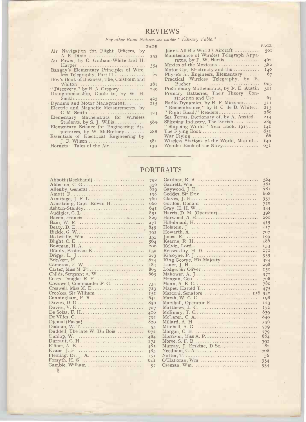### REVIEWS

#### For other Book Notices see under " Library Table."

|  | PAGE |  |
|--|------|--|
|  |      |  |

| Air Navigation for Flight Officers, by                              |          |                   |
|---------------------------------------------------------------------|----------|-------------------|
| A. E. Dixie                                                         | 353      | Ñ                 |
| Air Power, by C. Graham-White and H.                                |          |                   |
| $Harper$                                                            | 354      | $\mathbb{N}$<br>N |
| Bangay's Elementary Principles of Wire-<br>less Telegraphy, Part II | 22       | F                 |
| Boy's Book of Business, The, Chisholm and                           |          | F                 |
|                                                                     | 287      |                   |
| "Discovery," by R. A. Gregory                                       | 240      | F                 |
| Draughtsmanship, Guide to, by W. H.                                 |          | F                 |
| Smith<br>.                                                          | 425      |                   |
| Dynamo and Motor Management                                         | 215      | F<br>$\epsilon$   |
| Electric and Magnetic Measurements, by<br>C. M. Smith               |          | $\epsilon$        |
| Elementary Mathematics for Wireless                                 | $4^{2}4$ | S                 |
| Students, by S. J. Willis                                           | 385      | S                 |
| Elementary Science for Engineering Ap-                              |          | $\epsilon$        |
| prentices, by W. McBretney                                          | 288      | Τ                 |
| Essentials of Electrical Engineering by                             |          | V                 |
|                                                                     | 581      | V                 |
|                                                                     | 139      | V                 |
|                                                                     |          |                   |

|                                           | <b>PAGE</b> |                                          | <b>PAGE</b>     |  |
|-------------------------------------------|-------------|------------------------------------------|-----------------|--|
| Air Navigation for Flight Officers, by    |             | Jane's All the World's Aircraft          | 50I             |  |
|                                           | 353         | Maintenance of Wireless Telegraph Appa-  |                 |  |
| Air Power, by C. Graham-White and H.      |             |                                          | 402             |  |
|                                           | 354         |                                          | 582             |  |
| Bangay's Elementary Principles of Wire-   |             | Motor Car, Electricity and the           | 140             |  |
| less Telegraphy, Part II                  | 22          | Physics for Engineers, Elementary        | 67              |  |
| Boy's Book of Business, The, Chisholm and |             | Practical Wireless Telegraphy, by E.     |                 |  |
|                                           | 287         |                                          | 605             |  |
| "Discovery," by R. A. Gregory             | 240         | Preliminary Mathematics, by F. E. Austin | 502             |  |
| Draughtsmanship, Guide to, by W. H.       |             | Primary Batteries, Their Theory, Con-    |                 |  |
|                                           | 425         |                                          | - 67            |  |
| Dynamo and Motor Management               | 215         | Radio Dynamics, by B. F. Miessner        | 311             |  |
| Electric and Magnetic Measurements, by    |             | " Remembrance," by B. C. de B. White     | 213             |  |
|                                           | $4^{2}4$    |                                          | 289             |  |
| Elementary Mathematics for Wireless       |             | Sea Terms, Dictionary of, by A. Ansted   | 2I <sub>4</sub> |  |
| Students, by S. J. Willis                 | $385 -$     | Shipping Industry, The British           | 289             |  |
| Elementary Science for Engineering Ap-    |             | "Shipping World" Year Book, 1917         | 14I             |  |
| prentices, by W. McBretney                | 288         |                                          | 65I             |  |
| Essentials of Electrical Engineering by   |             |                                          | 66              |  |
|                                           | 581         | Wireless Stations of the World, Map of   | I40             |  |
|                                           | 139         | Wonder Book of the Navy                  | 0.51            |  |
|                                           |             |                                          |                 |  |

### PORTRAITS

|                                                                                                            | 792             |                                                             | 564             |  |
|------------------------------------------------------------------------------------------------------------|-----------------|-------------------------------------------------------------|-----------------|--|
|                                                                                                            | 356             |                                                             | 565             |  |
|                                                                                                            | 819             |                                                             | 781             |  |
|                                                                                                            | 198             |                                                             | 608             |  |
|                                                                                                            | 760             |                                                             | 357             |  |
| Armstrong, Capt. Edwin H.                                                                                  | 660             |                                                             | 720             |  |
|                                                                                                            | 64I             |                                                             | 334             |  |
|                                                                                                            | 851             |                                                             | 398             |  |
|                                                                                                            | 829             |                                                             | 200             |  |
|                                                                                                            | 27I             |                                                             | 415             |  |
|                                                                                                            | 849             |                                                             | 4 <sub>17</sub> |  |
|                                                                                                            | 792             |                                                             | 707             |  |
|                                                                                                            | 355             |                                                             | 199             |  |
|                                                                                                            | 564             |                                                             | 486             |  |
|                                                                                                            | 200             |                                                             | 153             |  |
|                                                                                                            | I <sub>5</sub>  | Kenworthy, H. D. $\dots\dots\dots\dots\dots\dots\dots\dots$ | 272             |  |
|                                                                                                            | 273             |                                                             | 335             |  |
|                                                                                                            | 624             |                                                             | 324             |  |
|                                                                                                            | 484             |                                                             | 298             |  |
|                                                                                                            | 865             |                                                             | 150             |  |
|                                                                                                            | 86 <sub>5</sub> |                                                             | 372             |  |
|                                                                                                            | $\overline{4}$  |                                                             | 708             |  |
| Cresswell, Commander F. G.                                                                                 | 734             |                                                             | 780             |  |
|                                                                                                            | 723             |                                                             | 475             |  |
|                                                                                                            | 151             |                                                             |                 |  |
|                                                                                                            | 04I             |                                                             | 198             |  |
|                                                                                                            | 850             |                                                             | 123             |  |
| Davies, $V. E. \ldots \ldots \ldots \ldots \ldots \ldots \ldots \ldots \ldots \ldots \ldots \ldots \ldots$ | 707             |                                                             | 272             |  |
|                                                                                                            | 416             |                                                             | 639             |  |
|                                                                                                            | 792             |                                                             | 849             |  |
|                                                                                                            | 820             |                                                             | 356             |  |
|                                                                                                            | 55              |                                                             | 779             |  |
| Duddell, The late W. Du Bois                                                                               | 672             |                                                             | 779             |  |
|                                                                                                            | 484             |                                                             | 864             |  |
|                                                                                                            | 272             |                                                             | 392             |  |
|                                                                                                            | 485             |                                                             | 82              |  |
|                                                                                                            | 485             |                                                             | 708             |  |
|                                                                                                            | 151             |                                                             | 56              |  |
| Forsyth, $H, G, \ldots, \ldots, \ldots, \ldots, \ldots, \ldots, \ldots, \ldots$                            | 642             |                                                             | 334             |  |
|                                                                                                            | 57              |                                                             | 334             |  |
|                                                                                                            |                 |                                                             |                 |  |

|                              | 781             |
|------------------------------|-----------------|
|                              | 608             |
|                              | 357             |
|                              | 720             |
|                              | 334             |
| Harris, D. M. (Operator)     | 398             |
|                              | 20C             |
|                              | 415             |
|                              | 4 <sub>17</sub> |
|                              | 707             |
|                              | 199             |
|                              | 486             |
|                              | 153             |
|                              | 272             |
|                              | 335             |
| King George, His Majesty     | 324             |
|                              | 298             |
|                              | 150             |
|                              | 372             |
|                              | 708             |
|                              | 78с             |
|                              | 475             |
|                              | $54^{5}$        |
|                              | 198             |
| Marshall, Operator E.        | 123             |
|                              | 272             |
|                              | 639             |
|                              | 849             |
|                              | 356             |
|                              | 779             |
| Morgan, C. B.                | 779             |
|                              | 864             |
|                              | 392             |
|                              | 82              |
| $N$ eedham $\bigcap \Lambda$ | 708             |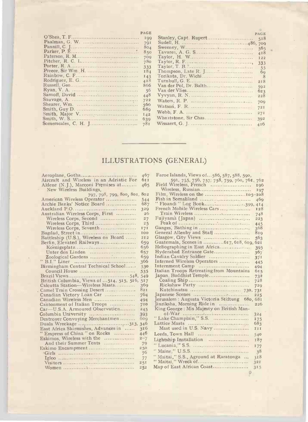| <b>AAA</b>      |
|-----------------|
| I Q             |
| 79 <sup>1</sup> |
| 80,             |
| 8,50            |
| 70(             |
| 780             |
|                 |
| 333             |
| 18.             |
| I43             |
| 4I <sub>5</sub> |
| 866             |
| 56              |
| $44^{8}$        |
| 722             |
| 566             |
| 68g             |
| 142             |
| 639             |
|                 |
| 781             |

| <b>PAGE</b>     |                      | <b>PAGE</b> |  |
|-----------------|----------------------|-------------|--|
| 199             |                      | 518         |  |
| 791             |                      |             |  |
| 804             |                      | 565         |  |
| 850             |                      | 418         |  |
| 709             |                      | 122         |  |
| 780             |                      | 333         |  |
| 333             |                      | 55          |  |
| 184             |                      | 6g          |  |
| I43             |                      | -8          |  |
| 418             |                      | 218         |  |
| 866             |                      | 592         |  |
| 56              |                      | 623         |  |
| 448             |                      | 228         |  |
| 722             |                      | 709         |  |
| 566<br>689      |                      | 72I         |  |
| I <sub>42</sub> |                      | 271         |  |
| 639             | Wheatstone, Sir Chas | 392         |  |
| 78I             |                      | 416         |  |
|                 |                      |             |  |

## ILLUSTRATIONS (GENERAL)

|                                                                               | 467             | <b>Faroe</b> Is  |
|-------------------------------------------------------------------------------|-----------------|------------------|
| Aircraft and Wireless in an Adriatic For                                      | 611             | 5                |
| Aldene (N.J.), Marconi Premises at                                            | 465             | Field W          |
| New Wireless Buildings.                                                       |                 | Wirel            |
| 797, 798, 799, 800, 801, 802                                                  |                 | Film, W          |
| American Wireless Operator                                                    | 544             | Fish in !        |
| Archie Banks' Notice Board                                                    | 687             | "Floand          |
|                                                                               | 329             | French 1         |
| Australian Wireless Corps, First                                              | 26              | Train            |
| Wireless Corps, Second                                                        | 27              | Fujiyam          |
| Wireless Corps, Third                                                         | 25              | Peak             |
| Wireless Corps, Seventh                                                       | I7I             | Ganges,          |
|                                                                               | <b>IOO</b>      | General          |
| Battleship (U.S.), Wireless on Board                                          | 2I <sub>2</sub> | Glasgow          |
| Berlin, Elevated Railways                                                     | 659             | Guatema          |
|                                                                               | 656             | Heliogra         |
| Unter den Linden                                                              | 657             | Hyderab          |
| Zoological Gardens                                                            | 659             | Indian C         |
|                                                                               | 366             | Interned         |
| Birmingham Central Technical School                                           | 530             | Internme         |
| Council House                                                                 | 535             | Italian T        |
|                                                                               | 549             | Japan, E         |
| British Columbia, Views of  514, 515, 516,<br>Calcutta Station—Wireless Masts | 5 <sub>17</sub> | Coalin           |
|                                                                               | 369             | Ricksl           |
| Camel Train Crossing Desert                                                   | 821             | Kutch            |
| Canadian Victory Loan Car                                                     | 764             | Japanese         |
| Canadian Wireless Men                                                         | 494             | Jerusaler        |
| Cantonment of Italian Troops                                                  | 710             | <i>linriksha</i> |
| Car-U.S.A. Armoured Observation                                               | 245             | King Geo         |
|                                                                               | 393             | $of-W$           |
| Destroyer Convoying Merchantmen                                               | 609             | "Lake C          |
|                                                                               | 346             | Lattice N        |
| East Africa Skirmishes, Advances in                                           | 316             | Mast u           |
| Empress of China " on Rocks                                                   | 446             | Leeds. To        |
| Eskimos, Wireless with the                                                    | $2 - 7$         | Lightship        |
| And their Summer Tents                                                        | 79              |                  |
| Eskimo Encampment                                                             | 250             | Lucani           |
|                                                                               | 76              | "Maine,"         |
|                                                                               | 77              | "Maitai,         |
|                                                                               | 25I             | " Maitai,        |
|                                                                               | 252             | Map of E         |
|                                                                               |                 |                  |

| Faroe Islands, Views of586, 587, 588, 590,            |      |  |
|-------------------------------------------------------|------|--|
| 591, 755, 756, 757; 758, 759, 760, 761, 762           |      |  |
| Field Wireless, French                                | 196  |  |
| Wireless, Russian                                     | 197  |  |
|                                                       |      |  |
| Fish in Somaliland                                    | 469  |  |
| " Floandi " Log Book399, 414                          |      |  |
| French Mobile Wireless Cars                           | 128  |  |
|                                                       | 748  |  |
|                                                       | 223  |  |
|                                                       | 445  |  |
| Ganges, Bathing in                                    | 368  |  |
| General Allenby and Staff                             | 8IQ  |  |
|                                                       | 563  |  |
| Guatemala, Scenes in  617, 618, 619, 621              |      |  |
|                                                       | 395  |  |
| Hyderabad Entrance Gate                               | 367  |  |
| Indian Cavalry Soldier<br>Interned Wireless Operators | 37I  |  |
| Internment Camp                                       | 445  |  |
| Italian Troops Retreating from Mountains              | 494  |  |
| Japan, Buddhist Temple                                | 61,5 |  |
|                                                       | 732  |  |
| Rickshaw Party                                        | 728  |  |
|                                                       | 729  |  |
|                                                       | 225  |  |
| Jerusalem : Augusta Victoria Stiftung 680, 681        |      |  |
| Jinriksha, Morning Ride in                            | 226  |  |
| King George: Mis Majesty on British Man-              |      |  |
|                                                       | 324  |  |
|                                                       | 175  |  |
|                                                       | 683  |  |
| Mast used in U.S. Navy                                | III  |  |
| Leeds, Town Hall                                      |      |  |
|                                                       | 540  |  |
| Lightship Installation                                | 187  |  |
|                                                       | I77  |  |
|                                                       | 38   |  |
|                                                       | 318  |  |
|                                                       | 32I  |  |
| Map of East African Coast                             | 315  |  |

9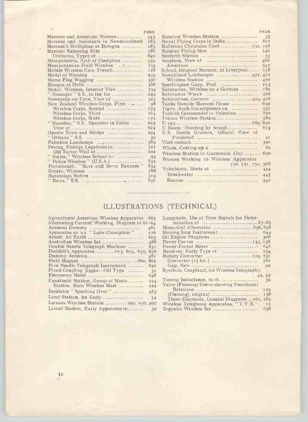|                                        | PAGE            |                |
|----------------------------------------|-----------------|----------------|
| Marconi and American Women             | 543             | Ro             |
| Marconi and Assistants in Newfoundland | 185             | Ro             |
| Marconi's Birthplace at Bologna        | 183             | Ru             |
| Marconi Releasing Kite                 | 186             | Ru             |
|                                        | 840             | Se:            |
| Mesopotamia, Arch of Ctesiphon         | 539             | Sea            |
| Mesopotamian Field Wireless            | 753             | J.             |
| Mobile Wireless Cars, French           | 128             | S <sub>2</sub> |
|                                        | 259             | So:            |
| Morse Flag Wagging                     | 396             |                |
|                                        | 368             | Sp.            |
| Motor, Wireless, Interior View         | 754             | Su             |
| "Nascopie " S.S., in the Ice           | 249             | Su             |
| Newcastle-on-Tyne, View of             | 525             | Su             |
| New Zealand Wireless Corps, First      | -98             | Тa             |
| Wireless Corps, Second                 | 173             | Ti             |
| Wireless Corps, Third                  | IO <sub>4</sub> | Τu             |
|                                        | 172             | Τv             |
| "Noordan," S.S., Operator in Cabin     | 623             | U              |
|                                        | 624             | U              |
| Oporto Town and Bridge                 | 294             | U.             |
|                                        | 39              |                |
|                                        | 389             | Vŀ             |
| Peking, Foreign Legations in           | IOI             | W)             |
|                                        | 102             | Wi             |
| "Poilus," Wireless School fcr          | 93              | W <sub>1</sub> |
| " Police Wireless " (U.S.A.)           | 852             |                |
| Portsmouth, "Save and Serve Banners"   | 834'            | Yс             |
|                                        | 786             |                |
|                                        | 319             |                |
|                                        | 836             |                |
|                                        |                 |                |

|                                        | <b>PAGE</b> |                                        | PAGE           |  |
|----------------------------------------|-------------|----------------------------------------|----------------|--|
| Marconi and American Women             | 543         | Rosslare Wireless Station              | 33             |  |
| Marconi and Assistants in Newfoundland | 185         |                                        |                |  |
| Marconi's Birthplace at Bologna        | 183         |                                        |                |  |
| Marconi Releasing Kite                 | <b>186</b>  |                                        |                |  |
|                                        | 840         |                                        | - 33           |  |
| Mesopotamia, Arch of Ctesiphon         | 539         |                                        | 466            |  |
| Mesopotamian Field Wireless            | 753         |                                        | 547            |  |
| Mobile Wireless Cars, French           | 128         | School, Original Marconi, at Liverpool | 178            |  |
|                                        | 259         | Somaliland Landscapes 471,472          |                |  |
|                                        | 396         |                                        | 470            |  |
|                                        | 368         |                                        | <b>II3</b>     |  |
| Motor, Wireless, Interior View         | 754         | Submarine, Wireless on a German        | I 80           |  |
|                                        | 249         |                                        | 468            |  |
| Newcastle-on-Tyne, View of             | 525         | Submarines, German 474, 476            |                |  |
| New Zealand Wireless Corps, First      | Q8          | Tanks Outside Marconi House            | 699            |  |
|                                        | 173         | Tigris, Arab Encampment on             | 537            |  |
|                                        | 104         | Turkish Commander in Palestine         | 820            |  |
|                                        | 172         |                                        | 589            |  |
| "Noordan," S.S., Operator in Cabin     | 623         |                                        |                |  |
|                                        | 624         | U Boats: Hunting by Sound              | 613            |  |
|                                        | 294         | U.S. Battle Cruisers, Official View of |                |  |
|                                        | 39          |                                        | 4 <sup>I</sup> |  |
|                                        | 389         |                                        | 390            |  |
| Peking, Foreign Legations in           | 101         |                                        | 80             |  |
| Old Tartar Wall at                     | 102         | Wireless Station in Guatemala City     | 020            |  |
| "Poilus," Wireless School for          | 93          | Women Working at Wireless Apparatus    |                |  |
|                                        | 852         | 750, 751, 752, 768                     |                |  |
| Portsmouth, "Save and Serve Banners"   | 834         |                                        |                |  |
|                                        | 786         |                                        |                |  |
|                                        | 319         |                                        |                |  |
|                                        | 836         |                                        | 442            |  |

## ILLUSTRATIONS (TECHNICAL)

| Agricultural American Wireless Apparatus 685  |                | Longitude, Use of Time Signals for Deter-    |  |
|-----------------------------------------------|----------------|----------------------------------------------|--|
| Alternating Current Working, Diagram of 61–64 |                |                                              |  |
|                                               | 48I            |                                              |  |
| Apparatus on s.s. "Lake Champlain"            | I76            |                                              |  |
|                                               | 803            |                                              |  |
|                                               |                |                                              |  |
| Double Needle Telegraph Machine  831          |                |                                              |  |
| Duddell's Apparatus673, 674, 675, 676         |                |                                              |  |
|                                               | 481            |                                              |  |
|                                               |                |                                              |  |
| Five Needle Telegraph Instrument  830         |                |                                              |  |
| Fixed Coupling Jigger—Old Type                | 3 <sup>T</sup> | Symbols, Graphical, for Wireless Telegraphy  |  |
|                                               | 648            | 44, 45                                       |  |
| Funabashi Station, Group of Masts             | 224            | Tuning Inductance, 60 ft.<br>-32             |  |
| Station, Main Wireless Mast                   | 222            | Valve (Fleming) Curve showing Functional     |  |
| Insulator "Sparking Over"                     | 483            |                                              |  |
| Land Station, An Early                        |                |                                              |  |
|                                               | 34             | Three-Electrode, General Diagrams161, 163    |  |
| Leixoes Wireless Station  295, 296, 297       |                | Wireless Telephone Apparatus, "T.Y.K."<br>II |  |
| Lizard Station Farly Annaratus in             | 20             | Zennelin Wirelace Set<br>658                 |  |

| Alternating Current Working, Diagram of 61-64 |                                              |
|-----------------------------------------------|----------------------------------------------|
| 48I                                           |                                              |
| Apparatus on s.s. "Lake Champlain"<br>I76     |                                              |
|                                               |                                              |
|                                               |                                              |
| Double Needle Telegraph Machine  831          |                                              |
| Duddell's Apparatus673, 674, 675, 676         |                                              |
|                                               | Rotary Converter 129, 131                    |
|                                               |                                              |
| Five Needle Telegraph Instrument  830         |                                              |
| Fixed Coupling Jigger-Old Type                | Symbols, Graphical, for Wireless Telegraphy  |
| 648                                           | 44, 45                                       |
| Funabashi Station, Group of Masts 224         | Tuning Inductance, 60 ft.<br>-32             |
| Station, Main Wireless Mast<br>222            | Valve (Fleming) Curve showing Functional     |
| Insulator "Sparking Over"                     |                                              |
| 483                                           |                                              |
| Land Station, An Early<br>34                  | Three-Electrode, General Diagrams161, 163    |
| Leixoes Wireless Station  295, 296, 297       | Wireless Telephone Apparatus, "T.Y.K."<br>II |
| Lizard Station, Early Apparatus in<br>30      |                                              |
|                                               |                                              |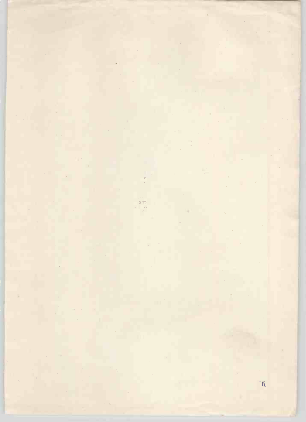